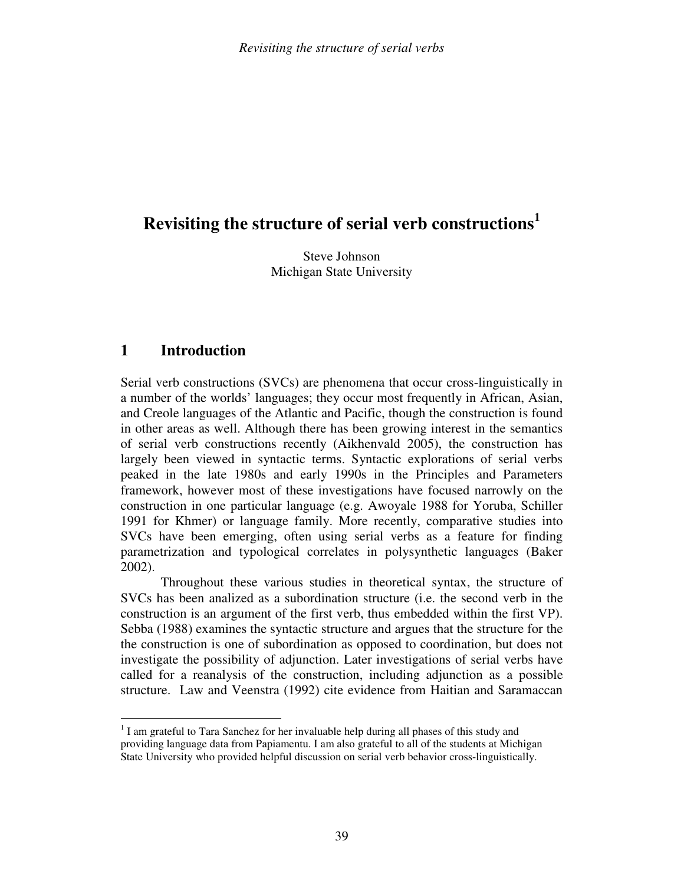# **Revisiting the structure of serial verb constructions 1**

Steve Johnson Michigan State University

## **1 Introduction**

Serial verb constructions (SVCs) are phenomena that occur cross-linguistically in a number of the worlds' languages; they occur most frequently in African, Asian, and Creole languages of the Atlantic and Pacific, though the construction is found in other areas as well. Although there has been growing interest in the semantics of serial verb constructions recently (Aikhenvald 2005), the construction has largely been viewed in syntactic terms. Syntactic explorations of serial verbs peaked in the late 1980s and early 1990s in the Principles and Parameters framework, however most of these investigations have focused narrowly on the construction in one particular language (e.g. Awoyale 1988 for Yoruba, Schiller 1991 for Khmer) or language family. More recently, comparative studies into SVCs have been emerging, often using serial verbs as a feature for finding parametrization and typological correlates in polysynthetic languages (Baker 2002).

Throughout these various studies in theoretical syntax, the structure of SVCs has been analized as a subordination structure (i.e. the second verb in the construction is an argument of the first verb, thus embedded within the first VP). Sebba (1988) examines the syntactic structure and argues that the structure for the the construction is one of subordination as opposed to coordination, but does not investigate the possibility of adjunction. Later investigations of serial verbs have called for a reanalysis of the construction, including adjunction as a possible structure. Law and Veenstra (1992) cite evidence from Haitian and Saramaccan

 $\overline{a}$  $1$  I am grateful to Tara Sanchez for her invaluable help during all phases of this study and providing language data from Papiamentu. I am also grateful to all of the students at Michigan State University who provided helpful discussion on serial verb behavior cross-linguistically.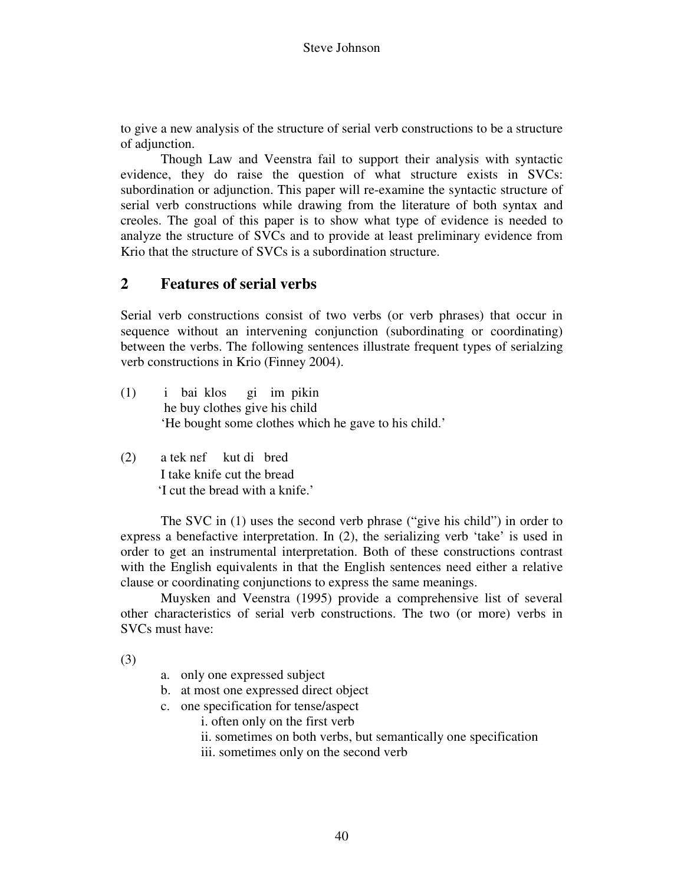to give a new analysis of the structure of serial verb constructions to be a structure of adjunction.

Though Law and Veenstra fail to support their analysis with syntactic evidence, they do raise the question of what structure exists in SVCs: subordination or adjunction. This paper will re-examine the syntactic structure of serial verb constructions while drawing from the literature of both syntax and creoles. The goal of this paper is to show what type of evidence is needed to analyze the structure of SVCs and to provide at least preliminary evidence from Krio that the structure of SVCs is a subordination structure.

# **2 Features of serial verbs**

Serial verb constructions consist of two verbs (or verb phrases) that occur in sequence without an intervening conjunction (subordinating or coordinating) between the verbs. The following sentences illustrate frequent types of serialzing verb constructions in Krio (Finney 2004).

- (1) i bai klos gi im pikin he buy clothes give his child 'He bought some clothes which he gave to his child.'
- (2) a tek nɛf kut di bred I take knife cut the bread 'I cut the bread with a knife.'

 The SVC in (1) uses the second verb phrase ("give his child") in order to express a benefactive interpretation. In (2), the serializing verb 'take' is used in order to get an instrumental interpretation. Both of these constructions contrast with the English equivalents in that the English sentences need either a relative clause or coordinating conjunctions to express the same meanings.

Muysken and Veenstra (1995) provide a comprehensive list of several other characteristics of serial verb constructions. The two (or more) verbs in SVCs must have:

(3)

- a. only one expressed subject
- b. at most one expressed direct object
- c. one specification for tense/aspect
	- i. often only on the first verb
	- ii. sometimes on both verbs, but semantically one specification
	- iii. sometimes only on the second verb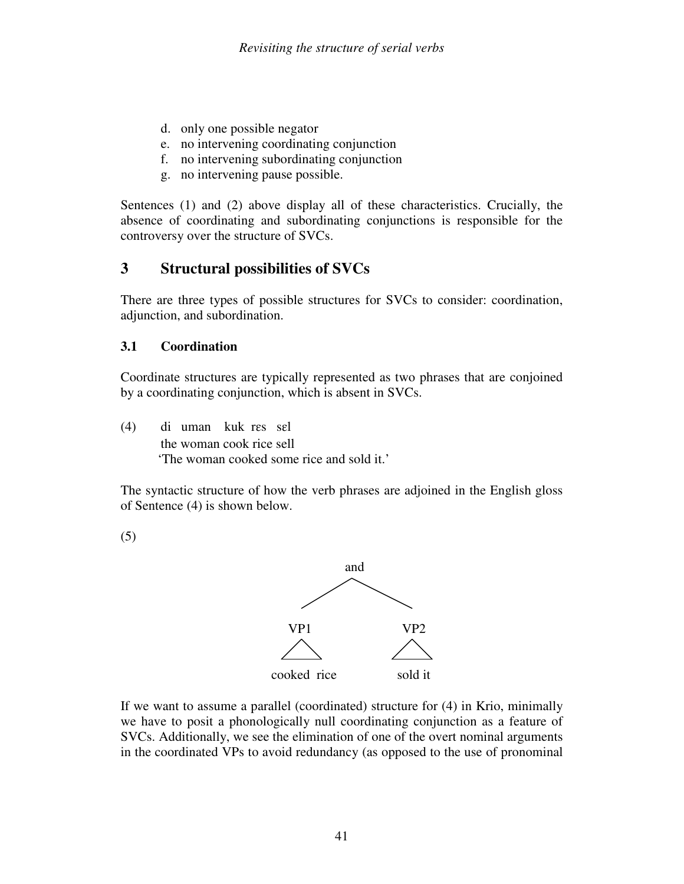- d. only one possible negator
- e. no intervening coordinating conjunction
- f. no intervening subordinating conjunction
- g. no intervening pause possible.

Sentences (1) and (2) above display all of these characteristics. Crucially, the absence of coordinating and subordinating conjunctions is responsible for the controversy over the structure of SVCs.

# **3 Structural possibilities of SVCs**

There are three types of possible structures for SVCs to consider: coordination, adjunction, and subordination.

#### **3.1 Coordination**

Coordinate structures are typically represented as two phrases that are conjoined by a coordinating conjunction, which is absent in SVCs.

(4) di uman kuk rɛs sɛl the woman cook rice sell 'The woman cooked some rice and sold it.'

The syntactic structure of how the verb phrases are adjoined in the English gloss of Sentence (4) is shown below.

(5)



If we want to assume a parallel (coordinated) structure for (4) in Krio, minimally we have to posit a phonologically null coordinating conjunction as a feature of SVCs. Additionally, we see the elimination of one of the overt nominal arguments in the coordinated VPs to avoid redundancy (as opposed to the use of pronominal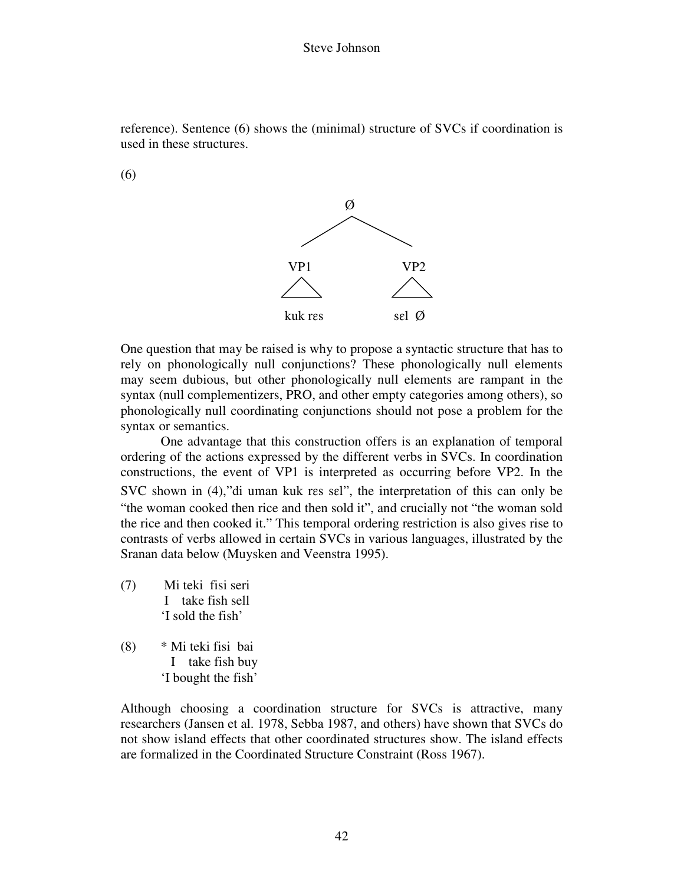

(6)



One question that may be raised is why to propose a syntactic structure that has to rely on phonologically null conjunctions? These phonologically null elements may seem dubious, but other phonologically null elements are rampant in the syntax (null complementizers, PRO, and other empty categories among others), so phonologically null coordinating conjunctions should not pose a problem for the syntax or semantics.

One advantage that this construction offers is an explanation of temporal ordering of the actions expressed by the different verbs in SVCs. In coordination constructions, the event of VP1 is interpreted as occurring before VP2. In the SVC shown in (4), "di uman kuk res sel", the interpretation of this can only be "the woman cooked then rice and then sold it", and crucially not "the woman sold the rice and then cooked it." This temporal ordering restriction is also gives rise to contrasts of verbs allowed in certain SVCs in various languages, illustrated by the Sranan data below (Muysken and Veenstra 1995).

(7) Mi teki fisi seri I take fish sell 'I sold the fish'

(8) \* Mi teki fisi bai I take fish buy 'I bought the fish'

Although choosing a coordination structure for SVCs is attractive, many researchers (Jansen et al. 1978, Sebba 1987, and others) have shown that SVCs do not show island effects that other coordinated structures show. The island effects are formalized in the Coordinated Structure Constraint (Ross 1967).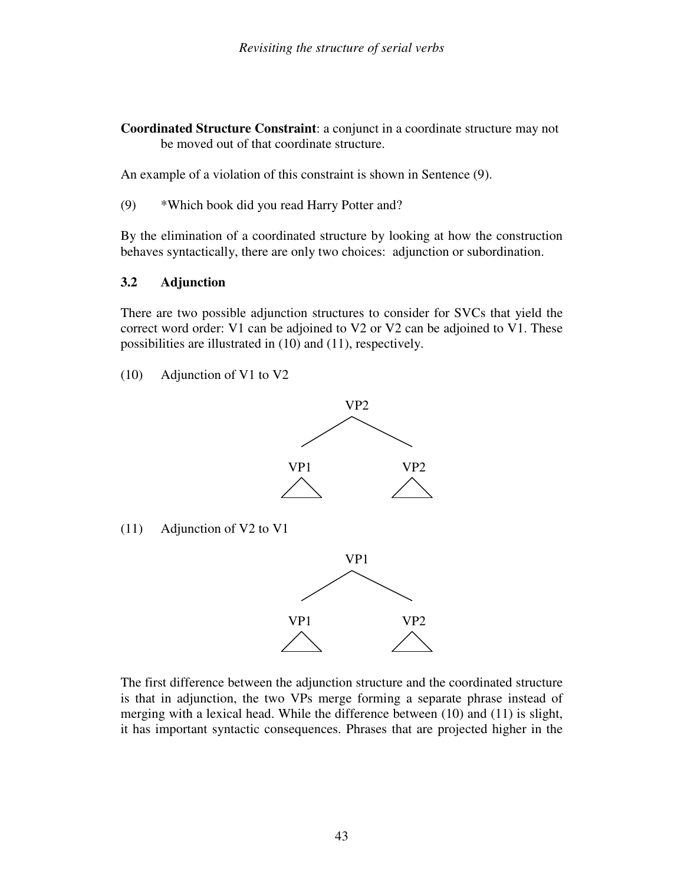**Coordinated Structure Constraint**: a conjunct in a coordinate structure may not be moved out of that coordinate structure.

An example of a violation of this constraint is shown in Sentence (9).

(9) \*Which book did you read Harry Potter and?

By the elimination of a coordinated structure by looking at how the construction behaves syntactically, there are only two choices: adjunction or subordination.

### **3.2 Adjunction**

There are two possible adjunction structures to consider for SVCs that yield the correct word order: V1 can be adjoined to V2 or V2 can be adjoined to V1. These possibilities are illustrated in (10) and (11), respectively.

(10) Adjunction of V1 to V2



(11) Adjunction of V2 to V1



The first difference between the adjunction structure and the coordinated structure is that in adjunction, the two VPs merge forming a separate phrase instead of merging with a lexical head. While the difference between (10) and (11) is slight, it has important syntactic consequences. Phrases that are projected higher in the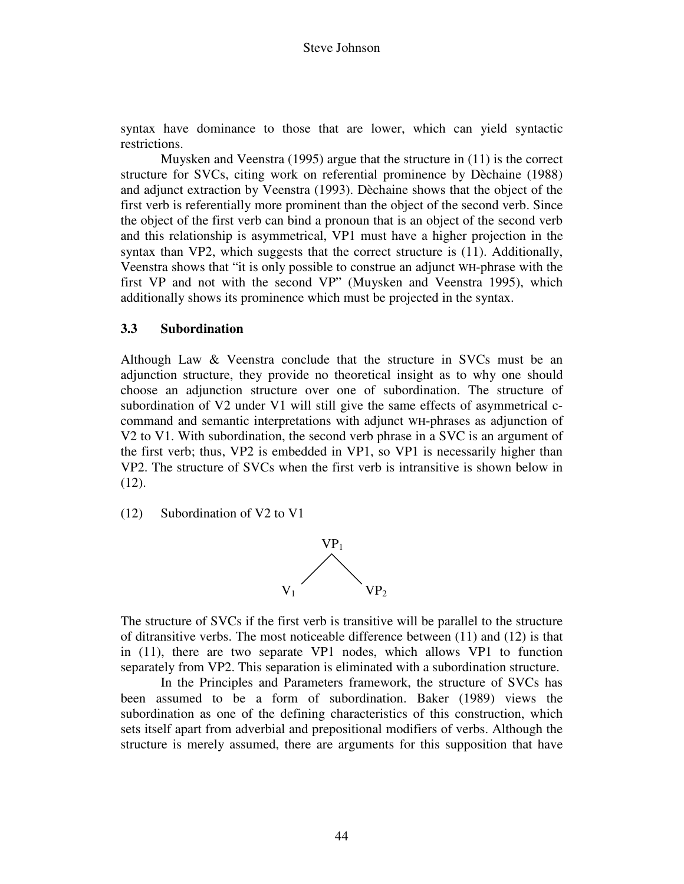syntax have dominance to those that are lower, which can yield syntactic restrictions.

 Muysken and Veenstra (1995) argue that the structure in (11) is the correct structure for SVCs, citing work on referential prominence by Dèchaine (1988) and adjunct extraction by Veenstra (1993). Dèchaine shows that the object of the first verb is referentially more prominent than the object of the second verb. Since the object of the first verb can bind a pronoun that is an object of the second verb and this relationship is asymmetrical, VP1 must have a higher projection in the syntax than VP2, which suggests that the correct structure is (11). Additionally, Veenstra shows that "it is only possible to construe an adjunct WH-phrase with the first VP and not with the second VP" (Muysken and Veenstra 1995), which additionally shows its prominence which must be projected in the syntax.

#### **3.3 Subordination**

Although Law & Veenstra conclude that the structure in SVCs must be an adjunction structure, they provide no theoretical insight as to why one should choose an adjunction structure over one of subordination. The structure of subordination of V2 under V1 will still give the same effects of asymmetrical ccommand and semantic interpretations with adjunct WH-phrases as adjunction of V2 to V1. With subordination, the second verb phrase in a SVC is an argument of the first verb; thus, VP2 is embedded in VP1, so VP1 is necessarily higher than VP2. The structure of SVCs when the first verb is intransitive is shown below in (12).

(12) Subordination of V2 to V1



The structure of SVCs if the first verb is transitive will be parallel to the structure of ditransitive verbs. The most noticeable difference between (11) and (12) is that in (11), there are two separate VP1 nodes, which allows VP1 to function separately from VP2. This separation is eliminated with a subordination structure.

 In the Principles and Parameters framework, the structure of SVCs has been assumed to be a form of subordination. Baker (1989) views the subordination as one of the defining characteristics of this construction, which sets itself apart from adverbial and prepositional modifiers of verbs. Although the structure is merely assumed, there are arguments for this supposition that have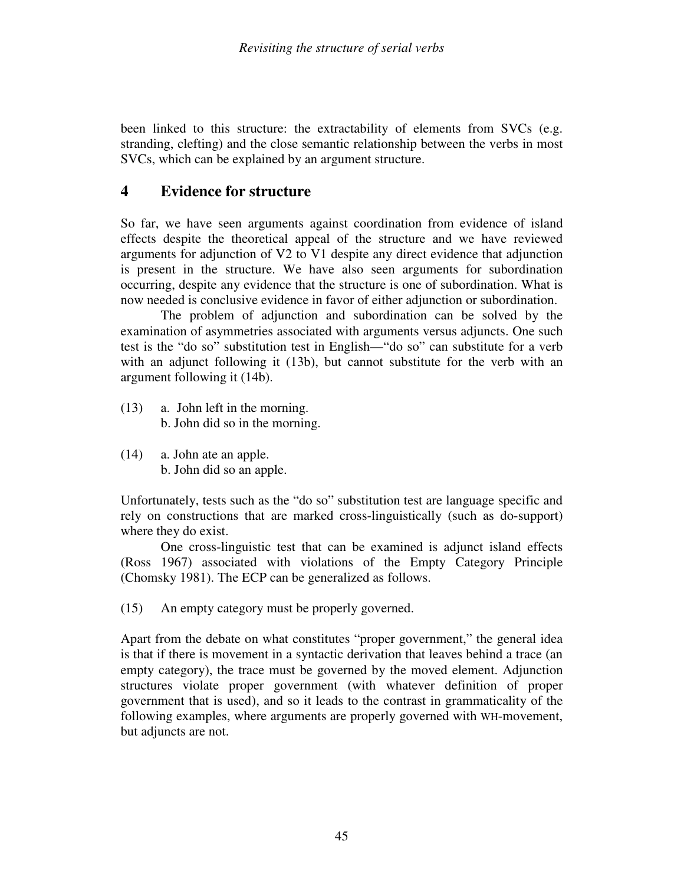been linked to this structure: the extractability of elements from SVCs (e.g. stranding, clefting) and the close semantic relationship between the verbs in most SVCs, which can be explained by an argument structure.

# **4 Evidence for structure**

So far, we have seen arguments against coordination from evidence of island effects despite the theoretical appeal of the structure and we have reviewed arguments for adjunction of V2 to V1 despite any direct evidence that adjunction is present in the structure. We have also seen arguments for subordination occurring, despite any evidence that the structure is one of subordination. What is now needed is conclusive evidence in favor of either adjunction or subordination.

 The problem of adjunction and subordination can be solved by the examination of asymmetries associated with arguments versus adjuncts. One such test is the "do so" substitution test in English—"do so" can substitute for a verb with an adjunct following it (13b), but cannot substitute for the verb with an argument following it (14b).

- (13) a. John left in the morning. b. John did so in the morning.
- (14) a. John ate an apple. b. John did so an apple.

Unfortunately, tests such as the "do so" substitution test are language specific and rely on constructions that are marked cross-linguistically (such as do-support) where they do exist.

 One cross-linguistic test that can be examined is adjunct island effects (Ross 1967) associated with violations of the Empty Category Principle (Chomsky 1981). The ECP can be generalized as follows.

(15) An empty category must be properly governed.

Apart from the debate on what constitutes "proper government," the general idea is that if there is movement in a syntactic derivation that leaves behind a trace (an empty category), the trace must be governed by the moved element. Adjunction structures violate proper government (with whatever definition of proper government that is used), and so it leads to the contrast in grammaticality of the following examples, where arguments are properly governed with WH-movement, but adjuncts are not.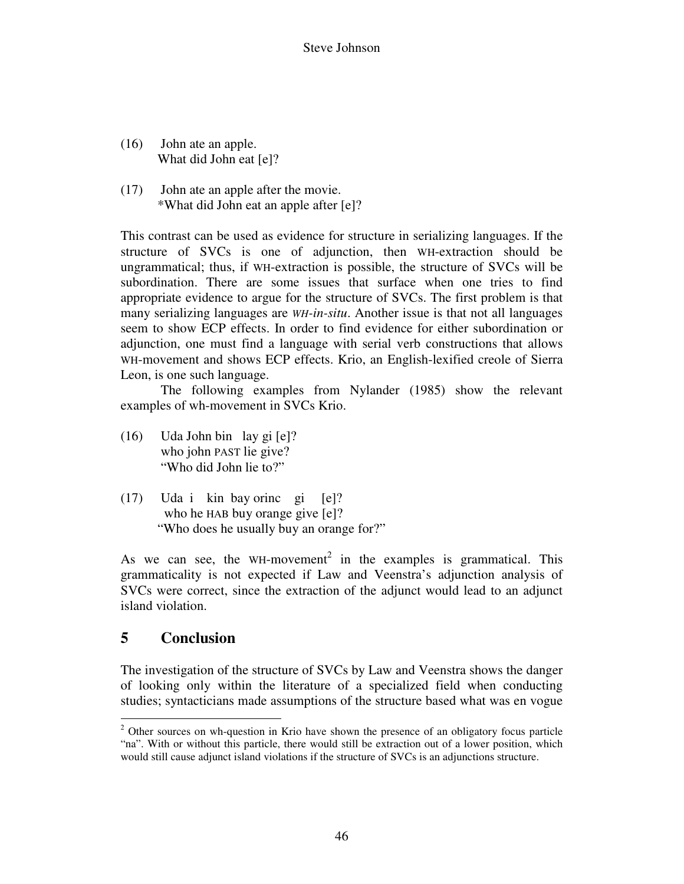- (16) John ate an apple. What did John eat [e]?
- (17) John ate an apple after the movie. \*What did John eat an apple after [e]?

This contrast can be used as evidence for structure in serializing languages. If the structure of SVCs is one of adjunction, then WH-extraction should be ungrammatical; thus, if WH-extraction is possible, the structure of SVCs will be subordination. There are some issues that surface when one tries to find appropriate evidence to argue for the structure of SVCs. The first problem is that many serializing languages are *WH-in-situ*. Another issue is that not all languages seem to show ECP effects. In order to find evidence for either subordination or adjunction, one must find a language with serial verb constructions that allows WH-movement and shows ECP effects. Krio, an English-lexified creole of Sierra Leon, is one such language.

 The following examples from Nylander (1985) show the relevant examples of wh-movement in SVCs Krio.

- (16) Uda John bin lay gi [e]? who john PAST lie give? "Who did John lie to?"
- (17) Uda i kin bay orinc gi [e]? who he HAB buy orange give [e]? "Who does he usually buy an orange for?"

As we can see, the WH-movement<sup>2</sup> in the examples is grammatical. This grammaticality is not expected if Law and Veenstra's adjunction analysis of SVCs were correct, since the extraction of the adjunct would lead to an adjunct island violation.

# **5 Conclusion**

The investigation of the structure of SVCs by Law and Veenstra shows the danger of looking only within the literature of a specialized field when conducting studies; syntacticians made assumptions of the structure based what was en vogue

<sup>&</sup>lt;sup>2</sup> Other sources on wh-question in Krio have shown the presence of an obligatory focus particle "na". With or without this particle, there would still be extraction out of a lower position, which would still cause adjunct island violations if the structure of SVCs is an adjunctions structure.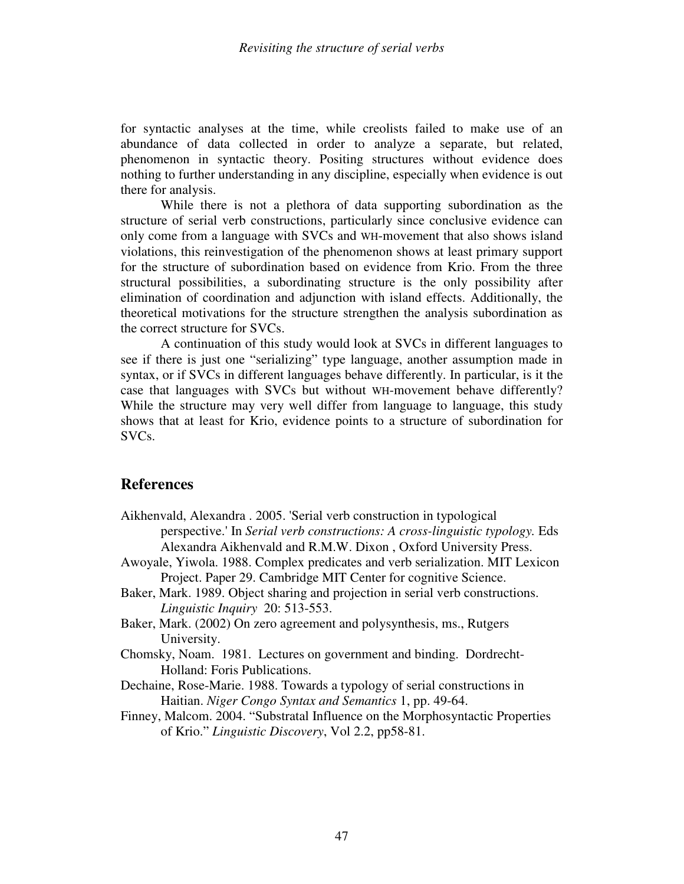for syntactic analyses at the time, while creolists failed to make use of an abundance of data collected in order to analyze a separate, but related, phenomenon in syntactic theory. Positing structures without evidence does nothing to further understanding in any discipline, especially when evidence is out there for analysis.

While there is not a plethora of data supporting subordination as the structure of serial verb constructions, particularly since conclusive evidence can only come from a language with SVCs and WH-movement that also shows island violations, this reinvestigation of the phenomenon shows at least primary support for the structure of subordination based on evidence from Krio. From the three structural possibilities, a subordinating structure is the only possibility after elimination of coordination and adjunction with island effects. Additionally, the theoretical motivations for the structure strengthen the analysis subordination as the correct structure for SVCs.

A continuation of this study would look at SVCs in different languages to see if there is just one "serializing" type language, another assumption made in syntax, or if SVCs in different languages behave differently. In particular, is it the case that languages with SVCs but without WH-movement behave differently? While the structure may very well differ from language to language, this study shows that at least for Krio, evidence points to a structure of subordination for SVCs.

#### **References**

- Aikhenvald, Alexandra . 2005. 'Serial verb construction in typological perspective.' In *Serial verb constructions: A cross-linguistic typology.* Eds Alexandra Aikhenvald and R.M.W. Dixon , Oxford University Press.
- Awoyale, Yiwola. 1988. Complex predicates and verb serialization. MIT Lexicon Project. Paper 29. Cambridge MIT Center for cognitive Science.
- Baker, Mark. 1989. Object sharing and projection in serial verb constructions. *Linguistic Inquiry* 20: 513-553.
- Baker, Mark. (2002) On zero agreement and polysynthesis, ms., Rutgers University.
- Chomsky, Noam. 1981. Lectures on government and binding. Dordrecht-Holland: Foris Publications.
- Dechaine, Rose-Marie. 1988. Towards a typology of serial constructions in Haitian. *Niger Congo Syntax and Semantics* 1, pp. 49-64.
- Finney, Malcom. 2004. "Substratal Influence on the Morphosyntactic Properties of Krio." *Linguistic Discovery*, Vol 2.2, pp58-81.